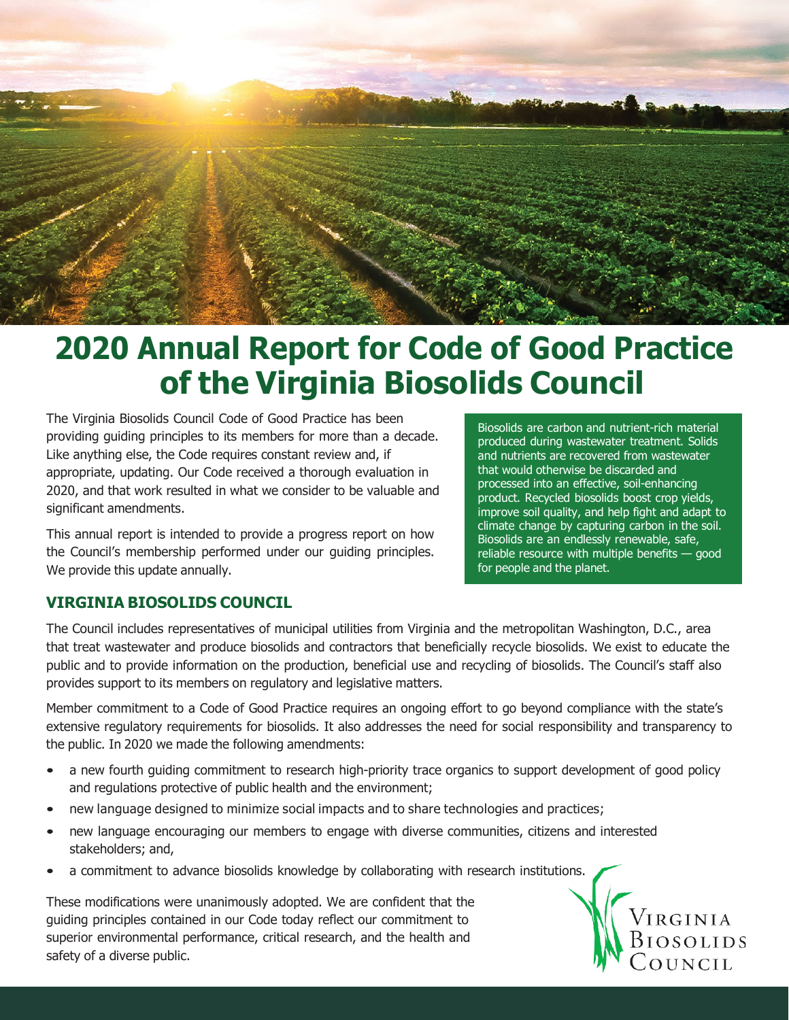

# **2020 Annual Report for Code of Good Practice of the Virginia Biosolids Council**

The Virginia Biosolids Council Code of Good Practice has been providing guiding principles to its members for more than a decade. Like anything else, the Code requires constant review and, if appropriate, updating. Our Code received a thorough evaluation in 2020, and that work resulted in what we consider to be valuable and significant amendments.

This annual report is intended to provide a progress report on how the Council's membership performed under our guiding principles. We provide this update annually.

Biosolids are carbon and nutrient-rich material produced during wastewater treatment. Solids and nutrients are recovered from wastewater that would otherwise be discarded and processed into an effective, soil-enhancing product. Recycled biosolids boost crop yields, improve soil quality, and help fight and adapt to climate change by capturing carbon in the soil. Biosolids are an endlessly renewable, safe, reliable resource with multiple benefits — good for people and the planet.

# **VIRGINIA BIOSOLIDS COUNCIL**

The Council includes representatives of municipal utilities from Virginia and the metropolitan Washington, D.C., area that treat wastewater and produce biosolids and contractors that beneficially recycle biosolids. We exist to educate the public and to provide information on the production, beneficial use and recycling of biosolids. The Council's staff also provides support to its members on regulatory and legislative matters.

Member commitment to a Code of Good Practice requires an ongoing effort to go beyond compliance with the state's extensive regulatory requirements for biosolids. It also addresses the need for social responsibility and transparency to the public. In 2020 we made the following amendments:

- a new fourth guiding commitment to research high-priority trace organics to support development of good policy and regulations protective of public health and the environment;
- new language designed to minimize social impacts and to share technologies and practices;
- new language encouraging our members to engage with diverse communities, citizens and interested stakeholders; and,
- a commitment to advance biosolids knowledge by collaborating with research institutions.

These modifications were unanimously adopted. We are confident that the guiding principles contained in our Code today reflect our commitment to superior environmental performance, critical research, and the health and safety of a diverse public.

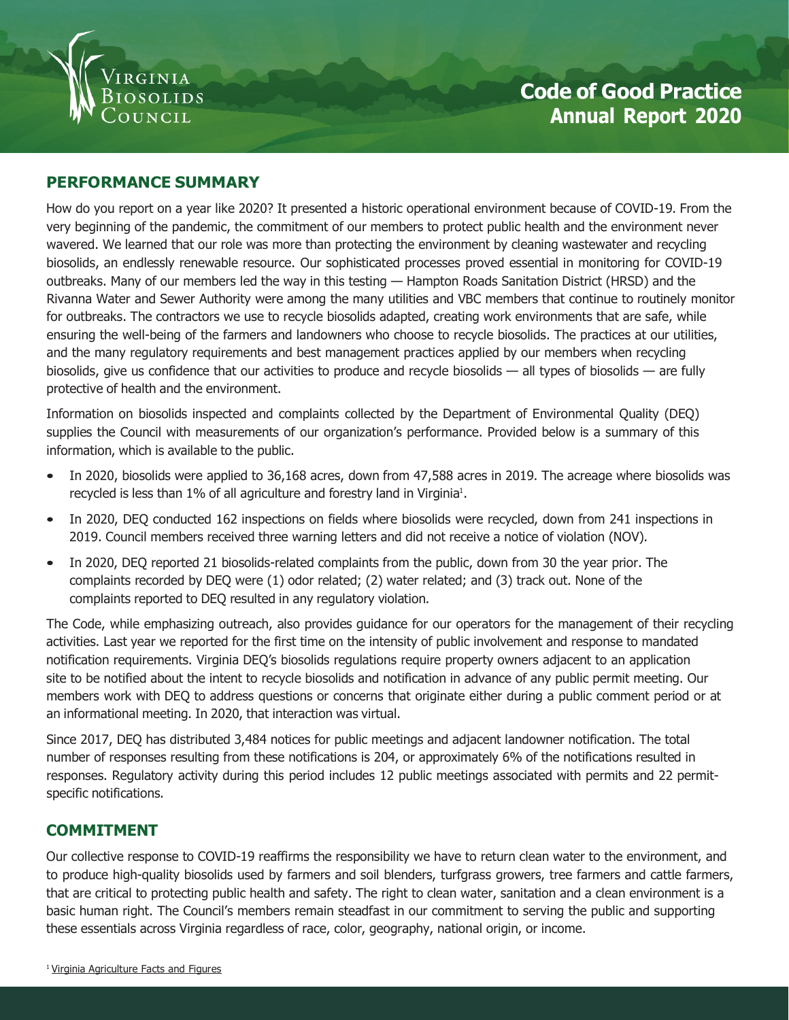

### **PERFORMANCE SUMMARY**

How do you report on a year like 2020? It presented a historic operational environment because of COVID-19. From the very beginning of the pandemic, the commitment of our members to protect public health and the environment never wavered. We learned that our role was more than protecting the environment by cleaning wastewater and recycling biosolids, an endlessly renewable resource. Our sophisticated processes proved essential in monitoring for COVID-19 outbreaks. Many of our members led the way in this testing — Hampton Roads Sanitation District (HRSD) and the Rivanna Water and Sewer Authority were among the many utilities and VBC members that continue to routinely monitor for outbreaks. The contractors we use to recycle biosolids adapted, creating work environments that are safe, while ensuring the well-being of the farmers and landowners who choose to recycle biosolids. The practices at our utilities, and the many regulatory requirements and best management practices applied by our members when recycling biosolids, give us confidence that our activities to produce and recycle biosolids — all types of biosolids — are fully protective of health and the environment.

Information on biosolids inspected and complaints collected by the Department of Environmental Quality (DEQ) supplies the Council with measurements of our organization's performance. Provided below is a summary of this information, which is available to the public.

- In 2020, biosolids were applied to 36,168 acres, down from 47,588 acres in 2019. The acreage where biosolids was recycled is less than  $1\%$  of all agriculture and forestry land in Virginia<sup>1</sup>.
- In 2020, DEQ conducted 162 inspections on fields where biosolids were recycled, down from 241 inspections in 2019. Council members received three warning letters and did not receive a notice of violation (NOV).
- In 2020, DEQ reported 21 biosolids-related complaints from the public, down from 30 the year prior. The complaints recorded by DEQ were (1) odor related; (2) water related; and (3) track out. None of the complaints reported to DEQ resulted in any regulatory violation.

The Code, while emphasizing outreach, also provides guidance for our operators for the management of their recycling activities. Last year we reported for the first time on the intensity of public involvement and response to mandated notification requirements. Virginia DEQ's biosolids regulations require property owners adjacent to an application site to be notified about the intent to recycle biosolids and notification in advance of any public permit meeting. Our members work with DEQ to address questions or concerns that originate either during a public comment period or at an informational meeting. In 2020, that interaction was virtual.

Since 2017, DEQ has distributed 3,484 notices for public meetings and adjacent landowner notification. The total number of responses resulting from these notifications is 204, or approximately 6% of the notifications resulted in responses. Regulatory activity during this period includes 12 public meetings associated with permits and 22 permitspecific notifications.

#### **COMMITMENT**

Our collective response to COVID-19 reaffirms the responsibility we have to return clean water to the environment, and to produce high-quality biosolids used by farmers and soil blenders, turfgrass growers, tree farmers and cattle farmers, that are critical to protecting public health and safety. The right to clean water, sanitation and a clean environment is a basic human right. The Council's members remain steadfast in our commitment to serving the public and supporting these essentials across Virginia regardless of race, color, geography, national origin, or income.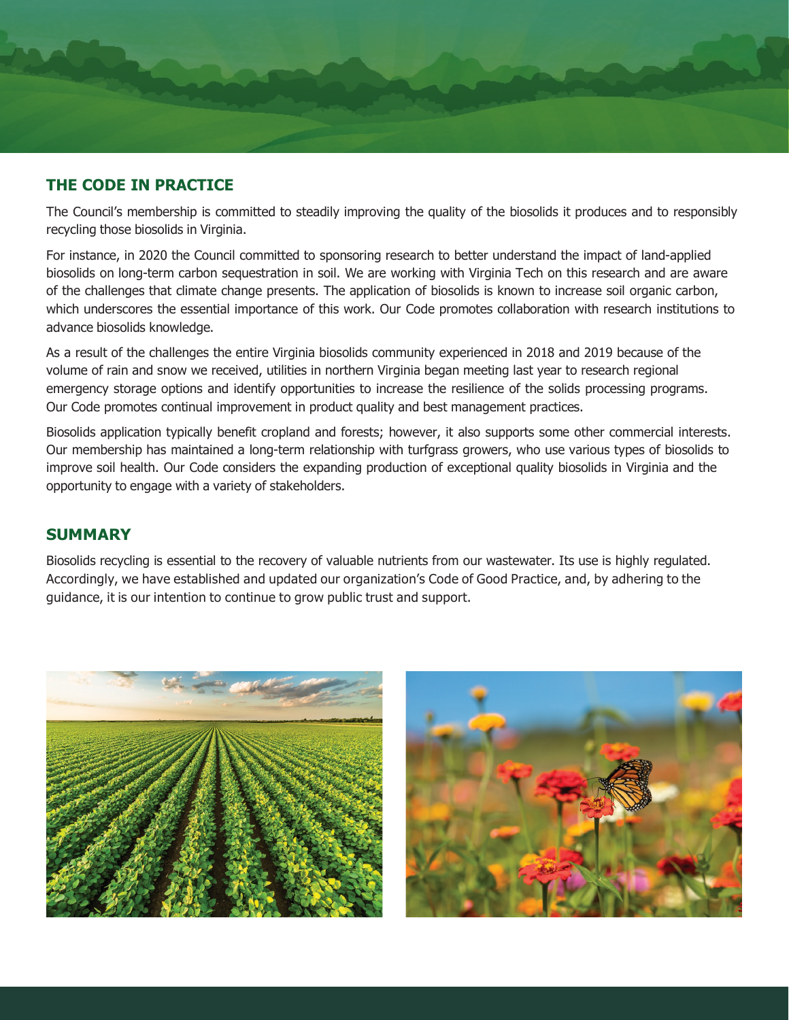

# **THE CODE IN PRACTICE**

The Council's membership is committed to steadily improving the quality of the biosolids it produces and to responsibly recycling those biosolids in Virginia.

For instance, in 2020 the Council committed to sponsoring research to better understand the impact of land-applied biosolids on long-term carbon sequestration in soil. We are working with Virginia Tech on this research and are aware of the challenges that climate change presents. The application of biosolids is known to increase soil organic carbon, which underscores the essential importance of this work. Our Code promotes collaboration with research institutions to advance biosolids knowledge.

As a result of the challenges the entire Virginia biosolids community experienced in 2018 and 2019 because of the volume of rain and snow we received, utilities in northern Virginia began meeting last year to research regional emergency storage options and identify opportunities to increase the resilience of the solids processing programs. Our Code promotes continual improvement in product quality and best management practices.

Biosolids application typically benefit cropland and forests; however, it also supports some other commercial interests. Our membership has maintained a long-term relationship with turfgrass growers, who use various types of biosolids to improve soil health. Our Code considers the expanding production of exceptional quality biosolids in Virginia and the opportunity to engage with a variety of stakeholders.

# **SUMMARY**

Biosolids recycling is essential to the recovery of valuable nutrients from our wastewater. Its use is highly regulated. Accordingly, we have established and updated our organization's Code of Good Practice, and, by adhering to the guidance, it is our intention to continue to grow public trust and support.